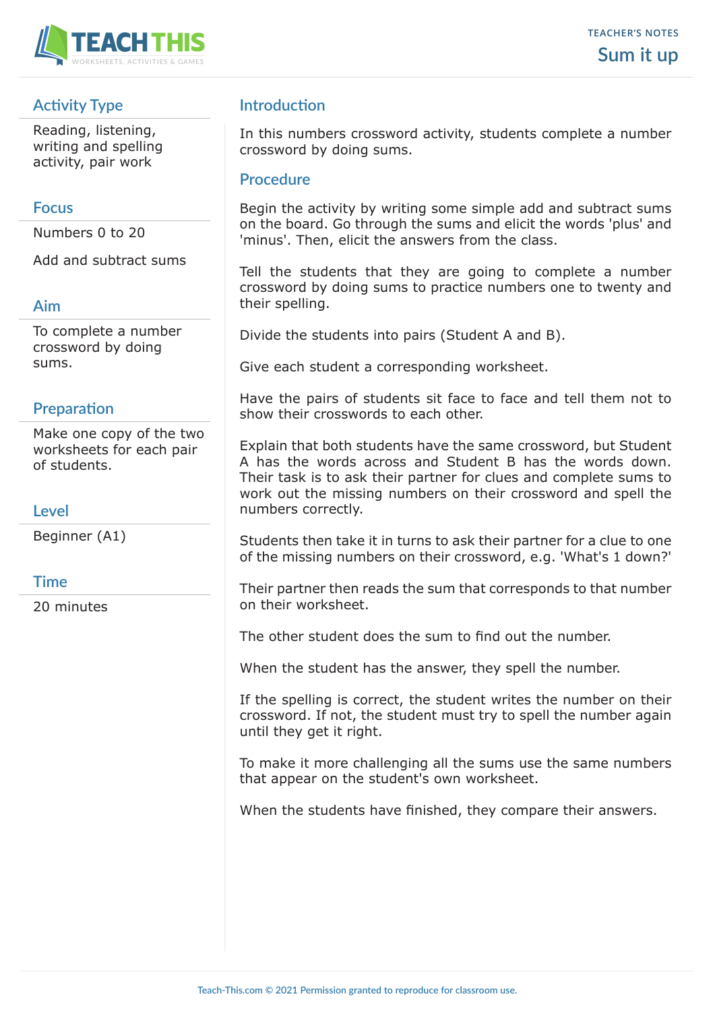

# **Activity Type**

Reading, listening, writing and spelling activity, pair work

### **Focus**

Numbers 0 to 20

Add and subtract sums

### **Aim**

To complete a number crossword by doing sums.

### **Preparation**

Make one copy of the two worksheets for each pair of students.

#### **Level**

Beginner (A1)

#### **Time**

20 minutes

## **Introduction**

In this numbers crossword activity, students complete a number crossword by doing sums.

#### **Procedure**

Begin the activity by writing some simple add and subtract sums on the board. Go through the sums and elicit the words 'plus' and 'minus'. Then, elicit the answers from the class.

Tell the students that they are going to complete a number crossword by doing sums to practice numbers one to twenty and their spelling.

Divide the students into pairs (Student A and B).

Give each student a corresponding worksheet.

Have the pairs of students sit face to face and tell them not to show their crosswords to each other.

Explain that both students have the same crossword, but Student A has the words across and Student B has the words down. Their task is to ask their partner for clues and complete sums to work out the missing numbers on their crossword and spell the numbers correctly.

Students then take it in turns to ask their partner for a clue to one of the missing numbers on their crossword, e.g. 'What's 1 down?'

Their partner then reads the sum that corresponds to that number on their worksheet.

The other student does the sum to find out the number.

When the student has the answer, they spell the number.

If the spelling is correct, the student writes the number on their crossword. If not, the student must try to spell the number again until they get it right.

To make it more challenging all the sums use the same numbers that appear on the student's own worksheet.

When the students have finished, they compare their answers.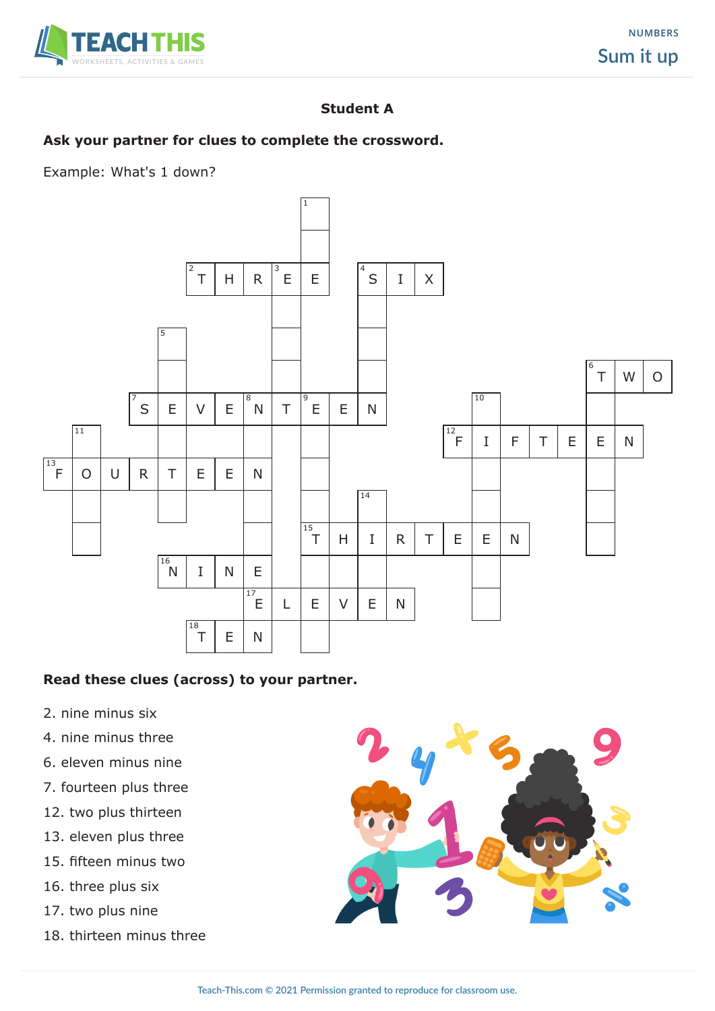

## **Student A**

## **Ask your partner for clues to complete the crossword.**

Example: What's 1 down?



#### **Read these clues (across) to your partner.**

- 2. nine minus six
- 4. nine minus three
- 6. eleven minus nine
- 7. fourteen plus three
- 12. two plus thirteen
- 13. eleven plus three
- 15. fifteen minus two
- 16. three plus six
- 17. two plus nine
- 18. thirteen minus three